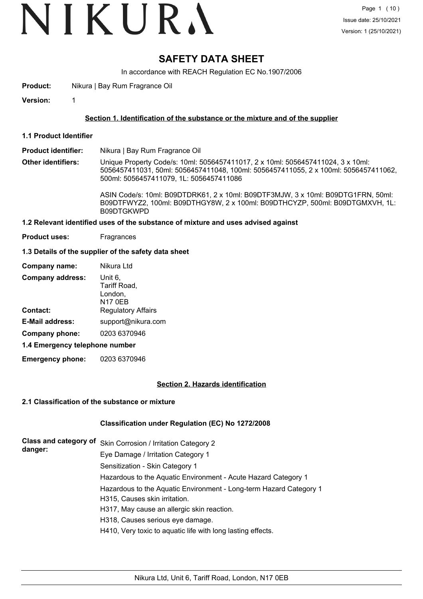# **SAFETY DATA SHEET**

In accordance with REACH Regulation EC No.1907/2006

**Product:** Nikura | Bay Rum Fragrance Oil

**Version:** 1

# **Section 1. Identification of the substance or the mixture and of the supplier**

- **1.1 Product Identifier**
- **Product identifier:** Nikura | Bay Rum Fragrance Oil
- **Other identifiers:** Unique Property Code/s: 10ml: 5056457411017, 2 x 10ml: 5056457411024, 3 x 10ml: 5056457411031, 50ml: 5056457411048, 100ml: 5056457411055, 2 x 100ml: 5056457411062, 500ml: 5056457411079, 1L: 5056457411086

ASIN Code/s: 10ml: B09DTDRK61, 2 x 10ml: B09DTF3MJW, 3 x 10ml: B09DTG1FRN, 50ml: B09DTFWYZ2, 100ml: B09DTHGY8W, 2 x 100ml: B09DTHCYZP, 500ml: B09DTGMXVH, 1L: B09DTGKWPD

### **1.2 Relevant identified uses of the substance of mixture and uses advised against**

**Product uses:** Fragrances

# **1.3 Details of the supplier of the safety data sheet**

| Company name:                  | Nikura Ltd                                           |  |  |
|--------------------------------|------------------------------------------------------|--|--|
| <b>Company address:</b>        | Unit 6,<br>Tariff Road,<br>London,<br><b>N17 0EB</b> |  |  |
| <b>Contact:</b>                | <b>Regulatory Affairs</b>                            |  |  |
| <b>E-Mail address:</b>         | support@nikura.com                                   |  |  |
| Company phone:                 | 0203 6370946                                         |  |  |
| 1.4 Emergency telephone number |                                                      |  |  |

**Emergency phone:** 0203 6370946

### **Section 2. Hazards identification**

### **2.1 Classification of the substance or mixture**

### **Classification under Regulation (EC) No 1272/2008**

| danger: | Class and category of Skin Corrosion / Irritation Category 2                                        |
|---------|-----------------------------------------------------------------------------------------------------|
|         | Eye Damage / Irritation Category 1                                                                  |
|         | Sensitization - Skin Category 1                                                                     |
|         | Hazardous to the Aquatic Environment - Acute Hazard Category 1                                      |
|         | Hazardous to the Aquatic Environment - Long-term Hazard Category 1<br>H315, Causes skin irritation. |
|         | H317, May cause an allergic skin reaction.                                                          |
|         | H318, Causes serious eye damage.                                                                    |
|         | H410, Very toxic to aquatic life with long lasting effects.                                         |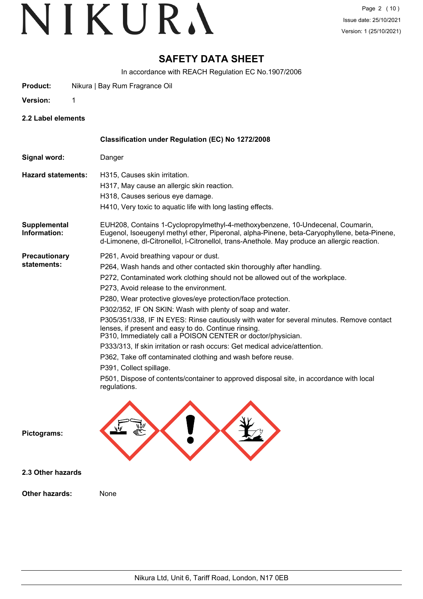# **SAFETY DATA SHEET**

In accordance with REACH Regulation EC No.1907/2006

**Product:** Nikura | Bay Rum Fragrance Oil

**Version:** 1

**2.2 Label elements**

|                                     | Classification under Regulation (EC) No 1272/2008                                                                                                                                                                                                                                                                                                                                                                                                                                                                                                                                                                                                                                                                                                                                                                                                                            |
|-------------------------------------|------------------------------------------------------------------------------------------------------------------------------------------------------------------------------------------------------------------------------------------------------------------------------------------------------------------------------------------------------------------------------------------------------------------------------------------------------------------------------------------------------------------------------------------------------------------------------------------------------------------------------------------------------------------------------------------------------------------------------------------------------------------------------------------------------------------------------------------------------------------------------|
| Signal word:                        | Danger                                                                                                                                                                                                                                                                                                                                                                                                                                                                                                                                                                                                                                                                                                                                                                                                                                                                       |
| <b>Hazard statements:</b>           | H315, Causes skin irritation.<br>H317, May cause an allergic skin reaction.<br>H318, Causes serious eye damage.<br>H410, Very toxic to aquatic life with long lasting effects.                                                                                                                                                                                                                                                                                                                                                                                                                                                                                                                                                                                                                                                                                               |
| <b>Supplemental</b><br>Information: | EUH208, Contains 1-Cyclopropylmethyl-4-methoxybenzene, 10-Undecenal, Coumarin,<br>Eugenol, Isoeugenyl methyl ether, Piperonal, alpha-Pinene, beta-Caryophyllene, beta-Pinene,<br>d-Limonene, dl-Citronellol, I-Citronellol, trans-Anethole. May produce an allergic reaction.                                                                                                                                                                                                                                                                                                                                                                                                                                                                                                                                                                                                |
| <b>Precautionary</b><br>statements: | P261, Avoid breathing vapour or dust.<br>P264, Wash hands and other contacted skin thoroughly after handling.<br>P272, Contaminated work clothing should not be allowed out of the workplace.<br>P273, Avoid release to the environment.<br>P280, Wear protective gloves/eye protection/face protection.<br>P302/352, IF ON SKIN: Wash with plenty of soap and water.<br>P305/351/338, IF IN EYES: Rinse cautiously with water for several minutes. Remove contact<br>lenses, if present and easy to do. Continue rinsing.<br>P310, Immediately call a POISON CENTER or doctor/physician.<br>P333/313, If skin irritation or rash occurs: Get medical advice/attention.<br>P362, Take off contaminated clothing and wash before reuse.<br>P391, Collect spillage.<br>P501, Dispose of contents/container to approved disposal site, in accordance with local<br>regulations. |
| Pictograms:                         |                                                                                                                                                                                                                                                                                                                                                                                                                                                                                                                                                                                                                                                                                                                                                                                                                                                                              |
| 2.3 Other hazards                   |                                                                                                                                                                                                                                                                                                                                                                                                                                                                                                                                                                                                                                                                                                                                                                                                                                                                              |
| Other hazards:                      | None                                                                                                                                                                                                                                                                                                                                                                                                                                                                                                                                                                                                                                                                                                                                                                                                                                                                         |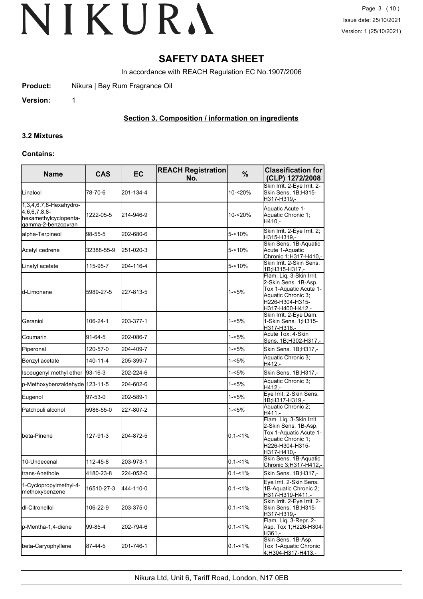# **SAFETY DATA SHEET**

In accordance with REACH Regulation EC No.1907/2006

**Product:** Nikura | Bay Rum Fragrance Oil

**Version:** 1

# **Section 3. Composition / information on ingredients**

#### **3.2 Mixtures**

#### **Contains:**

| <b>Name</b>                                                                              | <b>CAS</b> | <b>EC</b> | <b>REACH Registration</b><br>No. | %           | <b>Classification for</b><br>(CLP) 1272/2008                                                                                            |
|------------------------------------------------------------------------------------------|------------|-----------|----------------------------------|-------------|-----------------------------------------------------------------------------------------------------------------------------------------|
| Linalool                                                                                 | 78-70-6    | 201-134-4 |                                  | 10-<20%     | Skin Irrit. 2-Eye Irrit. 2-<br>Skin Sens. 1B;H315-<br>H317-H319,-                                                                       |
| 1,3,4,6,7,8-Hexahydro-<br>$4,6,6,7,8,8$ -<br>hexamethylcyclopenta-<br>gamma-2-benzopyran | 1222-05-5  | 214-946-9 |                                  | 10-<20%     | Aquatic Acute 1-<br>Aquatic Chronic 1;<br>H410,-                                                                                        |
| alpha-Terpineol                                                                          | 98-55-5    | 202-680-6 |                                  | 5-<10%      | Skin Irrit. 2-Eye Irrit. 2;<br>H315-H319,-                                                                                              |
| Acetyl cedrene                                                                           | 32388-55-9 | 251-020-3 |                                  | 5-<10%      | Skin Sens. 1B-Aquatic<br>Acute 1-Aquatic<br>Chronic 1; H317-H410,-                                                                      |
| Linalyl acetate                                                                          | 115-95-7   | 204-116-4 |                                  | 5-<10%      | Skin Irrit. 2-Skin Sens.<br>1B;H315-H317.-                                                                                              |
| <b>I</b> d-Limonene                                                                      | 5989-27-5  | 227-813-5 |                                  | 1-<5%       | Flam. Liq. 3-Skin Irrit.<br>2-Skin Sens. 1B-Asp.<br>Tox 1-Aquatic Acute 1-<br>Aquatic Chronic 3;<br>H226-H304-H315-<br>H317-H400-H412,- |
| Geraniol                                                                                 | 106-24-1   | 203-377-1 |                                  | $1 - 5%$    | Skin Irrit. 2-Eye Dam.<br>1-Skin Sens. 1; H315-<br>H317-H318,-                                                                          |
| Coumarin                                                                                 | 91-64-5    | 202-086-7 |                                  | 1-<5%       | Acute Tox, 4-Skin<br><u>Sens. 1B;H302-H317,-</u>                                                                                        |
| Piperonal                                                                                | 120-57-0   | 204-409-7 |                                  | 1-<5%       | Skin Sens. 1B; H317,-                                                                                                                   |
| Benzyl acetate                                                                           | 140-11-4   | 205-399-7 |                                  | 1-<5%       | Aquatic Chronic 3;<br>H412,-                                                                                                            |
| Isoeugenyl methyl ether 93-16-3                                                          |            | 202-224-6 |                                  | 1-<5%       | Skin Sens. 1B;H317,-                                                                                                                    |
| p-Methoxybenzaldehyde 123-11-5                                                           |            | 204-602-6 |                                  | 1-<5%       | Aquatic Chronic 3;<br>H412.-                                                                                                            |
| Eugenol                                                                                  | 97-53-0    | 202-589-1 |                                  | 1-<5%       | Eye Irrit. 2-Skin Sens.<br>1B;H317-H319,-                                                                                               |
| Patchouli alcohol                                                                        | 5986-55-0  | 227-807-2 |                                  | 1-<5%       | Aquatic Chronic 2;<br>H411,-                                                                                                            |
| <b>I</b> beta-Pinene                                                                     | 127-91-3   | 204-872-5 |                                  | $0.1 - 1\%$ | Flam. Liq. 3-Skin Irrit.<br>2-Skin Sens. 1B-Asp.<br>Tox 1-Aquatic Acute 1-<br>Aquatic Chronic 1;<br>H226-H304-H315-<br>H317-H410,-      |
| 10-Undecenal                                                                             | 112-45-8   | 203-973-1 |                                  | $0.1 - 1\%$ | Skin Sens. 1B-Aquatic<br>Chronic 3; H317-H412,-                                                                                         |
| trans-Anethole                                                                           | 4180-23-8  | 224-052-0 |                                  | $0.1 - 1\%$ | Skin Sens. 1B; H317,-                                                                                                                   |
| 1-Cyclopropylmethyl-4-<br>methoxybenzene                                                 | 16510-27-3 | 444-110-0 |                                  | $0.1 - 1\%$ | Eye Irrit. 2-Skin Sens.<br>1B-Aquatic Chronic 2;<br>H317-H319-H411,-                                                                    |
| dl-Citronellol                                                                           | 106-22-9   | 203-375-0 |                                  | 0.1-<1%     | Skin Irrit. 2-Eye Irrit. 2-<br>Skin Sens. 1B;H315-<br>H317-H319,-                                                                       |
| p-Mentha-1,4-diene                                                                       | 99-85-4    | 202-794-6 |                                  | 0.1-<1%     | Flam. Liq. 3-Repr. 2-<br>Asp. Tox 1;H226-H304-<br>H361,-                                                                                |
| beta-Caryophyllene                                                                       | 87-44-5    | 201-746-1 |                                  | 0.1-<1%     | Skin Sens. 1B-Asp.<br>Tox 1-Aquatic Chronic<br>4;H304-H317-H413,-                                                                       |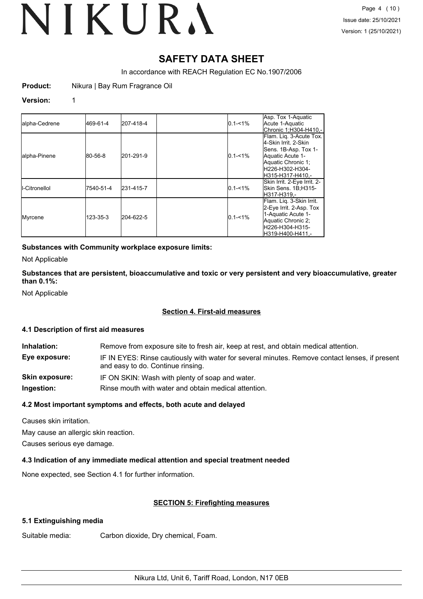# **SAFETY DATA SHEET**

In accordance with REACH Regulation EC No.1907/2006

**Product:** Nikura | Bay Rum Fragrance Oil

### **Version:** 1

| alpha-Cedrene  | 469-61-4  | 207-418-4 | $0.1 - 1\%$ | Asp. Tox 1-Aquatic<br>Acute 1-Aquatic<br>Chronic 1;H304-H410,-                                                                                           |
|----------------|-----------|-----------|-------------|----------------------------------------------------------------------------------------------------------------------------------------------------------|
| alpha-Pinene   | 80-56-8   | 201-291-9 | $0.1 - 1\%$ | Flam. Lig. 3-Acute Tox.<br>4-Skin Irrit. 2-Skin<br>Sens. 1B-Asp. Tox 1-<br>Aquatic Acute 1-<br>Aquatic Chronic 1;<br>H226-H302-H304-<br>H315-H317-H410.- |
| II-Citronellol | 7540-51-4 | 231-415-7 | $0.1 - 1\%$ | Skin Irrit. 2-Eye Irrit. 2-<br>Skin Sens. 1B;H315-<br>H317-H319.-                                                                                        |
| Myrcene        | 123-35-3  | 204-622-5 | $0.1 - 1\%$ | Flam. Lig. 3-Skin Irrit.<br>2-Eye Irrit. 2-Asp. Tox<br>1-Aquatic Acute 1-<br>Aquatic Chronic 2;<br>H226-H304-H315-<br>H319-H400-H411.-                   |

# **Substances with Community workplace exposure limits:**

Not Applicable

# **Substances that are persistent, bioaccumulative and toxic or very persistent and very bioaccumulative, greater than 0.1%:**

Not Applicable

### **Section 4. First-aid measures**

### **4.1 Description of first aid measures**

**Inhalation:** Remove from exposure site to fresh air, keep at rest, and obtain medical attention.

- **Eye exposure:** IF IN EYES: Rinse cautiously with water for several minutes. Remove contact lenses, if present and easy to do. Continue rinsing.
- **Skin exposure:** IF ON SKIN: Wash with plenty of soap and water.

**Ingestion:** Rinse mouth with water and obtain medical attention.

### **4.2 Most important symptoms and effects, both acute and delayed**

Causes skin irritation.

May cause an allergic skin reaction.

Causes serious eye damage.

### **4.3 Indication of any immediate medical attention and special treatment needed**

None expected, see Section 4.1 for further information.

# **SECTION 5: Firefighting measures**

# **5.1 Extinguishing media**

Suitable media: Carbon dioxide, Dry chemical, Foam.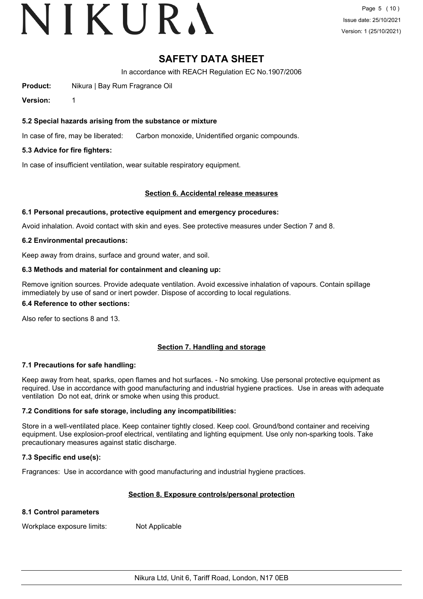# **SAFETY DATA SHEET**

In accordance with REACH Regulation EC No.1907/2006

**Product:** Nikura | Bay Rum Fragrance Oil

**Version:** 1

# **5.2 Special hazards arising from the substance or mixture**

In case of fire, may be liberated: Carbon monoxide, Unidentified organic compounds.

# **5.3 Advice for fire fighters:**

In case of insufficient ventilation, wear suitable respiratory equipment.

### **Section 6. Accidental release measures**

### **6.1 Personal precautions, protective equipment and emergency procedures:**

Avoid inhalation. Avoid contact with skin and eyes. See protective measures under Section 7 and 8.

### **6.2 Environmental precautions:**

Keep away from drains, surface and ground water, and soil.

### **6.3 Methods and material for containment and cleaning up:**

Remove ignition sources. Provide adequate ventilation. Avoid excessive inhalation of vapours. Contain spillage immediately by use of sand or inert powder. Dispose of according to local regulations.

### **6.4 Reference to other sections:**

Also refer to sections 8 and 13.

# **Section 7. Handling and storage**

### **7.1 Precautions for safe handling:**

Keep away from heat, sparks, open flames and hot surfaces. - No smoking. Use personal protective equipment as required. Use in accordance with good manufacturing and industrial hygiene practices. Use in areas with adequate ventilation Do not eat, drink or smoke when using this product.

### **7.2 Conditions for safe storage, including any incompatibilities:**

Store in a well-ventilated place. Keep container tightly closed. Keep cool. Ground/bond container and receiving equipment. Use explosion-proof electrical, ventilating and lighting equipment. Use only non-sparking tools. Take precautionary measures against static discharge.

### **7.3 Specific end use(s):**

Fragrances: Use in accordance with good manufacturing and industrial hygiene practices.

### **Section 8. Exposure controls/personal protection**

### **8.1 Control parameters**

Workplace exposure limits: Not Applicable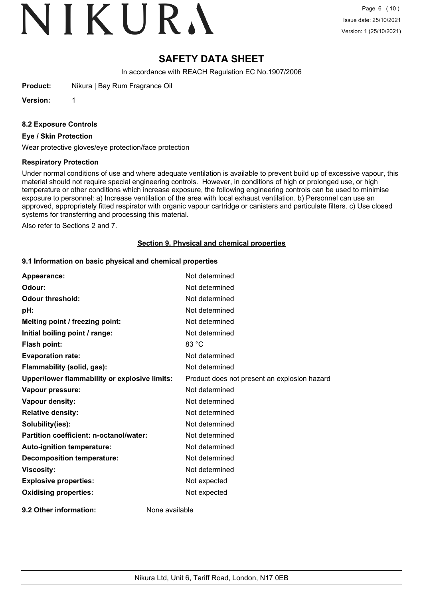# **SAFETY DATA SHEET**

In accordance with REACH Regulation EC No.1907/2006

**Product:** Nikura | Bay Rum Fragrance Oil

**Version:** 1

**8.2 Exposure Controls**

#### **Eye / Skin Protection**

Wear protective gloves/eye protection/face protection

#### **Respiratory Protection**

Under normal conditions of use and where adequate ventilation is available to prevent build up of excessive vapour, this material should not require special engineering controls. However, in conditions of high or prolonged use, or high temperature or other conditions which increase exposure, the following engineering controls can be used to minimise exposure to personnel: a) Increase ventilation of the area with local exhaust ventilation. b) Personnel can use an approved, appropriately fitted respirator with organic vapour cartridge or canisters and particulate filters. c) Use closed systems for transferring and processing this material.

Also refer to Sections 2 and 7.

### **Section 9. Physical and chemical properties**

### **9.1 Information on basic physical and chemical properties**

| Appearance:                                   | Not determined                               |
|-----------------------------------------------|----------------------------------------------|
| Odour:                                        | Not determined                               |
| <b>Odour threshold:</b>                       | Not determined                               |
| pH:                                           | Not determined                               |
| Melting point / freezing point:               | Not determined                               |
| Initial boiling point / range:                | Not determined                               |
| Flash point:                                  | 83 °C                                        |
| <b>Evaporation rate:</b>                      | Not determined                               |
| Flammability (solid, gas):                    | Not determined                               |
| Upper/lower flammability or explosive limits: | Product does not present an explosion hazard |
| Vapour pressure:                              | Not determined                               |
| Vapour density:                               | Not determined                               |
| <b>Relative density:</b>                      | Not determined                               |
| Solubility(ies):                              | Not determined                               |
| Partition coefficient: n-octanol/water:       | Not determined                               |
| Auto-ignition temperature:                    | Not determined                               |
| <b>Decomposition temperature:</b>             | Not determined                               |
| <b>Viscosity:</b>                             | Not determined                               |
| <b>Explosive properties:</b>                  | Not expected                                 |
| <b>Oxidising properties:</b>                  | Not expected                                 |
| 9.2 Other information:                        | None available                               |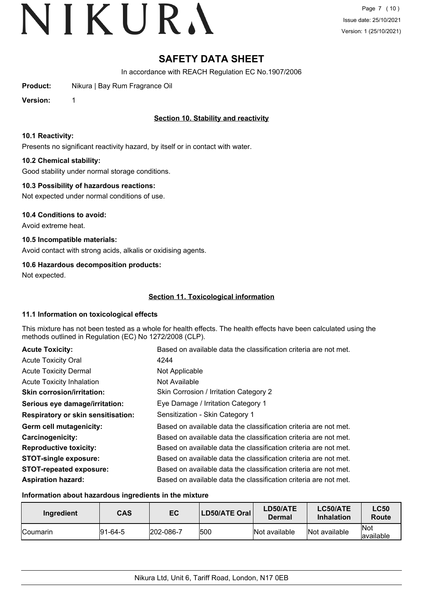# **SAFETY DATA SHEET**

In accordance with REACH Regulation EC No.1907/2006

**Product:** Nikura | Bay Rum Fragrance Oil

**Version:** 1

# **Section 10. Stability and reactivity**

## **10.1 Reactivity:**

Presents no significant reactivity hazard, by itself or in contact with water.

# **10.2 Chemical stability:**

Good stability under normal storage conditions.

# **10.3 Possibility of hazardous reactions:**

Not expected under normal conditions of use.

**10.4 Conditions to avoid:**

Avoid extreme heat.

# **10.5 Incompatible materials:**

Avoid contact with strong acids, alkalis or oxidising agents.

# **10.6 Hazardous decomposition products:**

Not expected.

# **Section 11. Toxicological information**

# **11.1 Information on toxicological effects**

This mixture has not been tested as a whole for health effects. The health effects have been calculated using the methods outlined in Regulation (EC) No 1272/2008 (CLP).

| <b>Acute Toxicity:</b>                    | Based on available data the classification criteria are not met. |
|-------------------------------------------|------------------------------------------------------------------|
| <b>Acute Toxicity Oral</b>                | 4244                                                             |
| <b>Acute Toxicity Dermal</b>              | Not Applicable                                                   |
| <b>Acute Toxicity Inhalation</b>          | Not Available                                                    |
| <b>Skin corrosion/irritation:</b>         | Skin Corrosion / Irritation Category 2                           |
| Serious eye damage/irritation:            | Eye Damage / Irritation Category 1                               |
| <b>Respiratory or skin sensitisation:</b> | Sensitization - Skin Category 1                                  |
| Germ cell mutagenicity:                   | Based on available data the classification criteria are not met. |
| <b>Carcinogenicity:</b>                   | Based on available data the classification criteria are not met. |
| <b>Reproductive toxicity:</b>             | Based on available data the classification criteria are not met. |
| <b>STOT-single exposure:</b>              | Based on available data the classification criteria are not met. |
| <b>STOT-repeated exposure:</b>            | Based on available data the classification criteria are not met. |
| <b>Aspiration hazard:</b>                 | Based on available data the classification criteria are not met. |

### **Information about hazardous ingredients in the mixture**

| Ingredient       | <b>CAS</b> | EC        | <b>LD50/ATE Oral</b> | LD50/ATE<br><b>Dermal</b> | <b>LC50/ATE</b><br><b>Inhalation</b> | <b>LC50</b><br><b>Route</b> |
|------------------|------------|-----------|----------------------|---------------------------|--------------------------------------|-----------------------------|
| <b>ICoumarin</b> | 91-64-5    | 202-086-7 | 500                  | Not available             | Not available                        | <b>INot</b><br>lavailable   |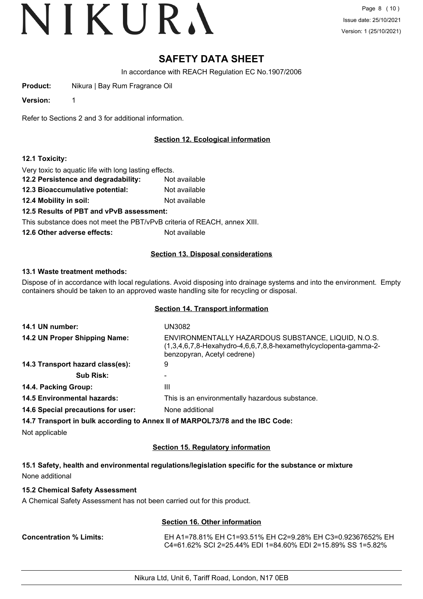# **SAFETY DATA SHEET**

In accordance with REACH Regulation EC No.1907/2006

**Product:** Nikura | Bay Rum Fragrance Oil

**Version:** 1

Refer to Sections 2 and 3 for additional information.

# **Section 12. Ecological information**

# **12.1 Toxicity:**

Very toxic to aquatic life with long lasting effects.

- **12.2 Persistence and degradability:** Not available
- **12.3 Bioaccumulative potential:** Not available
- **12.4 Mobility in soil:** Not available

**12.5 Results of PBT and vPvB assessment:**

This substance does not meet the PBT/vPvB criteria of REACH, annex XIII.

**12.6 Other adverse effects:** Not available

# **Section 13. Disposal considerations**

# **13.1 Waste treatment methods:**

Dispose of in accordance with local regulations. Avoid disposing into drainage systems and into the environment. Empty containers should be taken to an approved waste handling site for recycling or disposal.

### **Section 14. Transport information**

| 14.1 UN number:                           | UN3082                                                                                                                                                    |
|-------------------------------------------|-----------------------------------------------------------------------------------------------------------------------------------------------------------|
| 14.2 UN Proper Shipping Name:             | ENVIRONMENTALLY HAZARDOUS SUBSTANCE, LIQUID, N.O.S.<br>$(1,3,4,6,7,8$ -Hexahydro-4,6,6,7,8,8-hexamethylcyclopenta-gamma-2-<br>benzopyran, Acetyl cedrene) |
| 14.3 Transport hazard class(es):          | 9                                                                                                                                                         |
| <b>Sub Risk:</b>                          |                                                                                                                                                           |
| 14.4. Packing Group:                      | Ш                                                                                                                                                         |
| <b>14.5 Environmental hazards:</b>        | This is an environmentally hazardous substance.                                                                                                           |
| <b>14.6 Special precautions for user:</b> | None additional                                                                                                                                           |
|                                           | 14.7 Transport in bulk according to Annex II of MARPOL73/78 and the IBC Code:                                                                             |

Not applicable

# **Section 15. Regulatory information**

**15.1 Safety, health and environmental regulations/legislation specific for the substance or mixture** None additional

### **15.2 Chemical Safety Assessment**

A Chemical Safety Assessment has not been carried out for this product.

# **Section 16. Other information**

**Concentration % Limits:** EH A1=78.81% EH C1=93.51% EH C2=9.28% EH C3=0.92367652% EH C4=61.62% SCI 2=25.44% EDI 1=84.60% EDI 2=15.89% SS 1=5.82%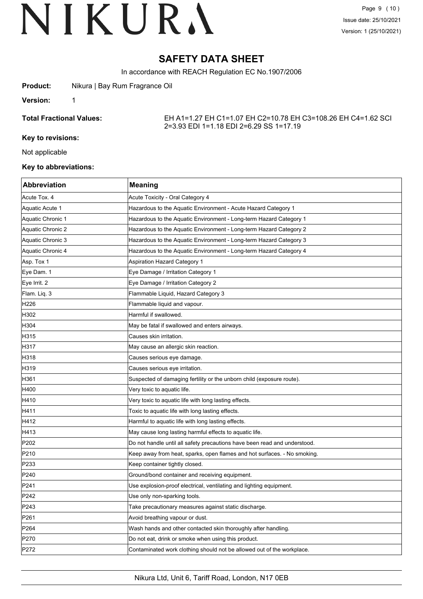# **SAFETY DATA SHEET**

In accordance with REACH Regulation EC No.1907/2006

**Product:** Nikura | Bay Rum Fragrance Oil

**Version:** 1

**Total Fractional Values:** EH A1=1.27 EH C1=1.07 EH C2=10.78 EH C3=108.26 EH C4=1.62 SCI 2=3.93 EDI 1=1.18 EDI 2=6.29 SS 1=17.19

### **Key to revisions:**

Not applicable

### **Key to abbreviations:**

| <b>Abbreviation</b> | <b>Meaning</b>                                                            |
|---------------------|---------------------------------------------------------------------------|
| Acute Tox. 4        | Acute Toxicity - Oral Category 4                                          |
| Aquatic Acute 1     | Hazardous to the Aquatic Environment - Acute Hazard Category 1            |
| Aquatic Chronic 1   | Hazardous to the Aquatic Environment - Long-term Hazard Category 1        |
| Aquatic Chronic 2   | Hazardous to the Aquatic Environment - Long-term Hazard Category 2        |
| Aquatic Chronic 3   | Hazardous to the Aquatic Environment - Long-term Hazard Category 3        |
| Aquatic Chronic 4   | Hazardous to the Aquatic Environment - Long-term Hazard Category 4        |
| Asp. Tox 1          | <b>Aspiration Hazard Category 1</b>                                       |
| Eye Dam. 1          | Eye Damage / Irritation Category 1                                        |
| Eye Irrit. 2        | Eye Damage / Irritation Category 2                                        |
| Flam. Liq. 3        | Flammable Liquid, Hazard Category 3                                       |
| H226                | Flammable liquid and vapour.                                              |
| H302                | Harmful if swallowed.                                                     |
| H304                | May be fatal if swallowed and enters airways.                             |
| H315                | Causes skin irritation.                                                   |
| H317                | May cause an allergic skin reaction.                                      |
| H318                | Causes serious eye damage.                                                |
| H319                | Causes serious eye irritation.                                            |
| H361                | Suspected of damaging fertility or the unborn child (exposure route).     |
| H400                | Very toxic to aquatic life.                                               |
| H410                | Very toxic to aquatic life with long lasting effects.                     |
| H411                | Toxic to aquatic life with long lasting effects.                          |
| H412                | Harmful to aquatic life with long lasting effects.                        |
| H413                | May cause long lasting harmful effects to aquatic life.                   |
| P202                | Do not handle until all safety precautions have been read and understood. |
| P210                | Keep away from heat, sparks, open flames and hot surfaces. - No smoking.  |
| P233                | Keep container tightly closed.                                            |
| P240                | Ground/bond container and receiving equipment.                            |
| P241                | Use explosion-proof electrical, ventilating and lighting equipment.       |
| P242                | Use only non-sparking tools.                                              |
| P243                | Take precautionary measures against static discharge.                     |
| P261                | Avoid breathing vapour or dust.                                           |
| P <sub>264</sub>    | Wash hands and other contacted skin thoroughly after handling.            |
| P270                | Do not eat, drink or smoke when using this product.                       |
| P272                | Contaminated work clothing should not be allowed out of the workplace.    |